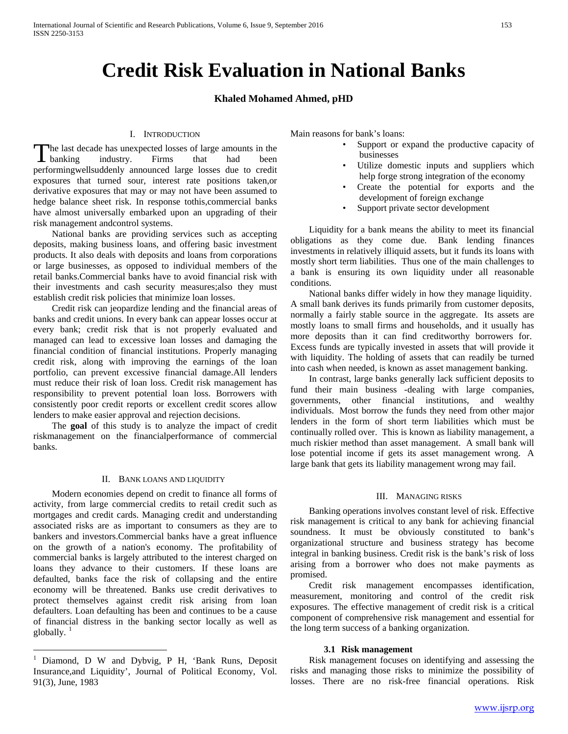# **Credit Risk Evaluation in National Banks**

# **Khaled Mohamed Ahmed, pHD**

## I. INTRODUCTION

he last decade has unexpected losses of large amounts in the The last decade has unexpected losses of large amounts in the industry. Firms that had been that the state of the state of the state of the state of the state of the state of the state of the state of the state of the stat performingwellsuddenly announced large losses due to credit exposures that turned sour, interest rate positions taken,or derivative exposures that may or may not have been assumed to hedge balance sheet risk. In response tothis,commercial banks have almost universally embarked upon an upgrading of their risk management andcontrol systems.

 National banks are providing services such as accepting deposits, making business loans, and offering basic investment products. It also deals with deposits and loans from corporations or large businesses, as opposed to individual members of the retail banks.Commercial banks have to avoid financial risk with their investments and cash security measures;also they must establish credit risk policies that minimize loan losses.

 Credit risk can jeopardize lending and the financial areas of banks and credit unions. In every bank can appear losses occur at every bank; credit risk that is not properly evaluated and managed can lead to excessive loan losses and damaging the financial condition of financial institutions. Properly managing credit risk, along with improving the earnings of the loan portfolio, can prevent excessive financial damage.All lenders must reduce their risk of loan loss. Credit risk management has responsibility to prevent potential loan loss. Borrowers with consistently poor credit reports or excellent credit scores allow lenders to make easier approval and rejection decisions.

 The **goal** of this study is to analyze the impact of credit riskmanagement on the financialperformance of commercial banks.

#### II. BANK LOANS AND LIQUIDITY

 Modern economies depend on credit to finance all forms of activity, from large commercial credits to retail credit such as mortgages and credit cards. Managing credit and understanding associated risks are as important to consumers as they are to bankers and investors.Commercial banks have a great influence on the growth of a nation's economy. The profitability of commercial banks is largely attributed to the interest charged on loans they advance to their customers. If these loans are defaulted, banks face the risk of collapsing and the entire economy will be threatened. Banks use credit derivatives to protect themselves against credit risk arising from loan defaulters. Loan defaulting has been and continues to be a cause of financial distress in the banking sector locally as well as globally.  $1$ 

Main reasons for bank's loans:

- Support or expand the productive capacity of businesses
- Utilize domestic inputs and suppliers which help forge strong integration of the economy
- Create the potential for exports and the development of foreign exchange
- Support private sector development

 Liquidity for a bank means the ability to meet its financial obligations as they come due. Bank lending finances investments in relatively illiquid assets, but it funds its loans with mostly short term liabilities. Thus one of the main challenges to a bank is ensuring its own liquidity under all reasonable conditions.

 National banks differ widely in how they manage liquidity. A small bank derives its funds primarily from customer deposits, normally a fairly stable source in the aggregate. Its assets are mostly loans to small firms and households, and it usually has more deposits than it can find creditworthy borrowers for. Excess funds are typically invested in assets that will provide it with liquidity. The holding of assets that can readily be turned into cash when needed, is known as asset management banking.

 In contrast, large banks generally lack sufficient deposits to fund their main business -dealing with large companies, governments, other financial institutions, and wealthy individuals. Most borrow the funds they need from other major lenders in the form of short term liabilities which must be continually rolled over. This is known as liability management, a much riskier method than asset management. A small bank will lose potential income if gets its asset management wrong. A large bank that gets its liability management wrong may fail.

#### III. MANAGING RISKS

 Banking operations involves constant level of risk. Effective risk management is critical to any bank for achieving financial soundness. It must be obviously constituted to bank's organizational structure and business strategy has become integral in banking business. Credit risk is the bank's risk of loss arising from a borrower who does not make payments as promised.

 Credit risk management encompasses identification, measurement, monitoring and control of the credit risk exposures. The effective management of credit risk is a critical component of comprehensive risk management and essential for the long term success of a banking organization.

## **3.1 Risk management**

 Risk management focuses on identifying and assessing the risks and managing those risks to minimize the possibility of losses. There are no risk-free financial operations. Risk

<span id="page-0-1"></span><span id="page-0-0"></span>Diamond, D W and Dybvig, P H, 'Bank Runs, Deposit Insurance,and Liquidity', Journal of Political Economy, Vol. 91(3), June, 1983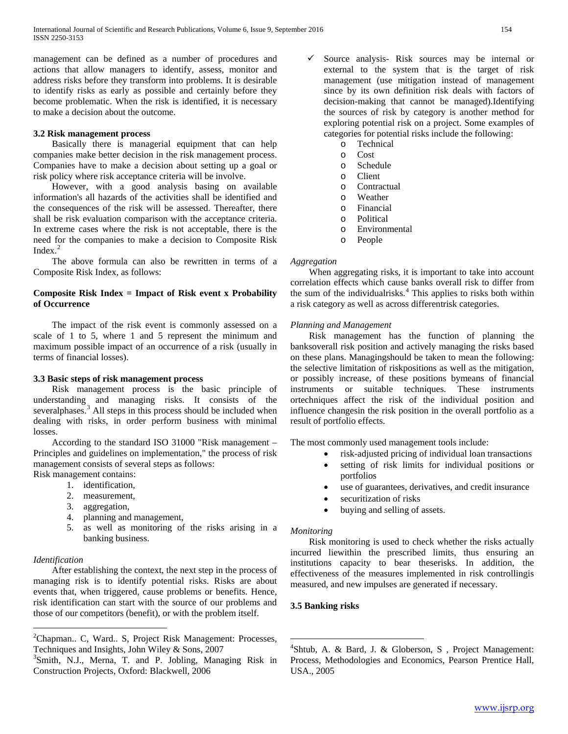management can be defined as a number of procedures and actions that allow managers to identify, assess, monitor and address risks before they transform into problems. It is desirable to identify risks as early as possible and certainly before they become problematic. When the risk is identified, it is necessary to make a decision about the outcome.

# **3.2 Risk management process**

 Basically there is managerial equipment that can help companies make better decision in the risk management process. Companies have to make a decision about setting up a goal or risk policy where risk acceptance criteria will be involve.

 However, with a good analysis basing on available information's all hazards of the activities shall be identified and the consequences of the risk will be assessed. Thereafter, there shall be risk evaluation comparison with the acceptance criteria. In extreme cases where the risk is not acceptable, there is the need for the companies to make a decision to Composite Risk Index. $<sup>2</sup>$  $<sup>2</sup>$  $<sup>2</sup>$ </sup>

 The above formula can also be rewritten in terms of a Composite Risk Index, as follows:

# **Composite Risk Index = Impact of Risk event x Probability of Occurrence**

 The impact of the risk event is commonly assessed on a scale of 1 to 5, where 1 and 5 represent the minimum and maximum possible impact of an occurrence of a risk (usually in terms of financial losses).

# **3.3 Basic steps of risk management process**

 Risk management process is the basic principle of understanding and managing risks. It consists of the severalphases.<sup>[3](#page-1-0)</sup> All steps in this process should be included when dealing with risks, in order perform business with minimal losses.

 According to the standard ISO 31000 "Risk management – Principles and guidelines on implementation," the process of risk management consists of several steps as follows: Risk management contains:

1. identification,

- 
- 2. measurement,
- 3. aggregation,
- 4. planning and management,
- 5. as well as monitoring of the risks arising in a banking business.

# *Identification*

 After establishing the context, the next step in the process of managing risk is to identify potential risks. Risks are about events that, when triggered, cause problems or benefits. Hence, risk identification can start with the source of our problems and those of our competitors (benefit), or with the problem itself.

- $\checkmark$  Source analysis- Risk sources may be internal or external to the system that is the target of risk management (use mitigation instead of management since by its own definition risk deals with factors of decision-making that cannot be managed).Identifying the sources of risk by category is another method for exploring potential risk on a project. Some examples of categories for potential risks include the following:
	- $\circ$  Technical
	- Cost
	- o Schedule
	- o Client<br>O Contra
	- o Contractual<br>o Weather
	- o Weather
	- o Financial<br>o Political
	- o Political
	- Environmental
	- o People

# *Aggregation*

 When aggregating risks, it is important to take into account correlation effects which cause banks overall risk to differ from the sum of the individualrisks.<sup>[4](#page-1-1)</sup> This applies to risks both within a risk category as well as across differentrisk categories.

# *Planning and Management*

 Risk management has the function of planning the banksoverall risk position and actively managing the risks based on these plans. Managingshould be taken to mean the following: the selective limitation of riskpositions as well as the mitigation, or possibly increase, of these positions bymeans of financial instruments or suitable techniques. These instruments ortechniques affect the risk of the individual position and influence changesin the risk position in the overall portfolio as a result of portfolio effects.

The most commonly used management tools include:

- risk-adjusted pricing of individual loan transactions
- setting of risk limits for individual positions or portfolios
- use of guarantees, derivatives, and credit insurance
- securitization of risks
- buying and selling of assets.

## *Monitoring*

 Risk monitoring is used to check whether the risks actually incurred liewithin the prescribed limits, thus ensuring an institutions capacity to bear theserisks. In addition, the effectiveness of the measures implemented in risk controllingis measured, and new impulses are generated if necessary.

# **3.5 Banking risks**

 $\frac{1}{2}$  ${}^{2}$ Chapman.. C, Ward.. S, Project Risk Management: Processes, Techniques and Insights, John Wiley & Sons, 2007

<span id="page-1-1"></span><span id="page-1-0"></span><sup>&</sup>lt;sup>3</sup>Smith, N.J., Merna, T. and P. Jobling, Managing Risk in Construction Projects, Oxford: Blackwell, 2006

 $\frac{1}{4}$  $4$ Shtub, A. & Bard, J. & Globerson, S., Project Management: Process, Methodologies and Economics, Pearson Prentice Hall, USA., 2005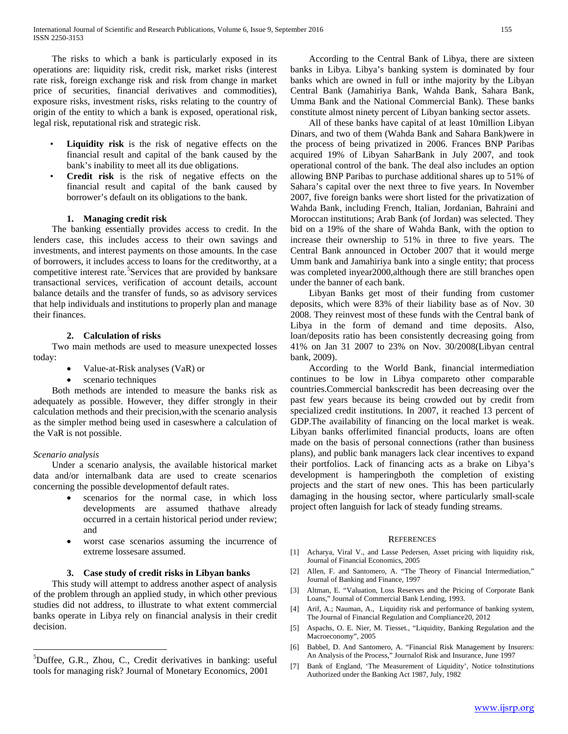The risks to which a bank is particularly exposed in its operations are: liquidity risk, credit risk, market risks (interest rate risk, foreign exchange risk and risk from change in market price of securities, financial derivatives and commodities), exposure risks, investment risks, risks relating to the country of origin of the entity to which a bank is exposed, operational risk, legal risk, reputational risk and strategic risk.

- **Liquidity risk** is the risk of negative effects on the financial result and capital of the bank caused by the bank's inability to meet all its due obligations.
- **Credit risk** is the risk of negative effects on the financial result and capital of the bank caused by borrower's default on its obligations to the bank.

# **1. Managing credit risk**

 The banking essentially provides access to credit. In the lenders case, this includes access to their own savings and investments, and interest payments on those amounts. In the case of borrowers, it includes access to loans for the creditworthy, at a competitive interest rate.<sup>[5](#page-1-0)</sup>Services that are provided by banksare transactional services, verification of account details, account balance details and the transfer of funds, so as advisory services that help individuals and institutions to properly plan and manage their finances.

# **2. Calculation of risks**

 Two main methods are used to measure unexpected losses today:

- Value-at-Risk analyses (VaR) or
- scenario techniques

 Both methods are intended to measure the banks risk as adequately as possible. However, they differ strongly in their calculation methods and their precision,with the scenario analysis as the simpler method being used in caseswhere a calculation of the VaR is not possible.

## *Scenario analysis*

 Under a scenario analysis, the available historical market data and/or internalbank data are used to create scenarios concerning the possible developmentof default rates.

- scenarios for the normal case, in which loss developments are assumed thathave already occurred in a certain historical period under review; and
- worst case scenarios assuming the incurrence of extreme lossesare assumed.

## **3. Case study of credit risks in Libyan banks**

 This study will attempt to address another aspect of analysis of the problem through an applied study, in which other previous studies did not address, to illustrate to what extent commercial banks operate in Libya rely on financial analysis in their credit decision.

 According to the Central Bank of Libya, there are sixteen banks in Libya. Libya's banking system is dominated by four banks which are owned in full or inthe majority by the Libyan Central Bank (Jamahiriya Bank, Wahda Bank, Sahara Bank, Umma Bank and the National Commercial Bank). These banks constitute almost ninety percent of Libyan banking sector assets.

 All of these banks have capital of at least 10million Libyan Dinars, and two of them (Wahda Bank and Sahara Bank)were in the process of being privatized in 2006. Frances BNP Paribas acquired 19% of Libyan SaharBank in July 2007, and took operational control of the bank. The deal also includes an option allowing BNP Paribas to purchase additional shares up to 51% of Sahara's capital over the next three to five years. In November 2007, five foreign banks were short listed for the privatization of Wahda Bank, including French, Italian, Jordanian, Bahraini and Moroccan institutions; Arab Bank (of Jordan) was selected. They bid on a 19% of the share of Wahda Bank, with the option to increase their ownership to 51% in three to five years. The Central Bank announced in October 2007 that it would merge Umm bank and Jamahiriya bank into a single entity; that process was completed inyear2000,although there are still branches open under the banner of each bank.

 Libyan Banks get most of their funding from customer deposits, which were 83% of their liability base as of Nov. 30 2008. They reinvest most of these funds with the Central bank of Libya in the form of demand and time deposits. Also, loan/deposits ratio has been consistently decreasing going from 41% on Jan 31 2007 to 23% on Nov. 30/2008(Libyan central bank, 2009).

 According to the World Bank, financial intermediation continues to be low in Libya compareto other comparable countries.Commercial bankscredit has been decreasing over the past few years because its being crowded out by credit from specialized credit institutions. In 2007, it reached 13 percent of GDP.The availability of financing on the local market is weak. Libyan banks offerlimited financial products, loans are often made on the basis of personal connections (rather than business plans), and public bank managers lack clear incentives to expand their portfolios. Lack of financing acts as a brake on Libya's development is hamperingboth the completion of existing projects and the start of new ones. This has been particularly damaging in the housing sector, where particularly small‐scale project often languish for lack of steady funding streams.

#### **REFERENCES**

- [1] Acharya, Viral V., and Lasse Pedersen, Asset pricing with liquidity risk, Journal of Financial Economics, 2005
- [2] Allen, F. and Santomero, A. "The Theory of Financial Intermediation," Journal of Banking and Finance, 1997
- [3] Altman, E. "Valuation, Loss Reserves and the Pricing of Corporate Bank Loans," Journal of Commercial Bank Lending, 1993.
- [4] Arif, A.; Nauman, A., Liquidity risk and performance of banking system, The Journal of Financial Regulation and Compliance20, 2012
- [5] Aspachs, O. E. Nier, M. Tiesset., "Liquidity, Banking Regulation and the Macroeconomy", 2005
- [6] Babbel, D. And Santomero, A. "Financial Risk Management by Insurers: An Analysis of the Process," Journalof Risk and Insurance, June 1997
- [7] Bank of England, 'The Measurement of Liquidity', Notice toInstitutions Authorized under the Banking Act 1987, July, 1982

 $\frac{1}{5}$  ${}^{5}$ Duffee, G.R., Zhou, C., Credit derivatives in banking: useful tools for managing risk? Journal of Monetary Economics, 2001